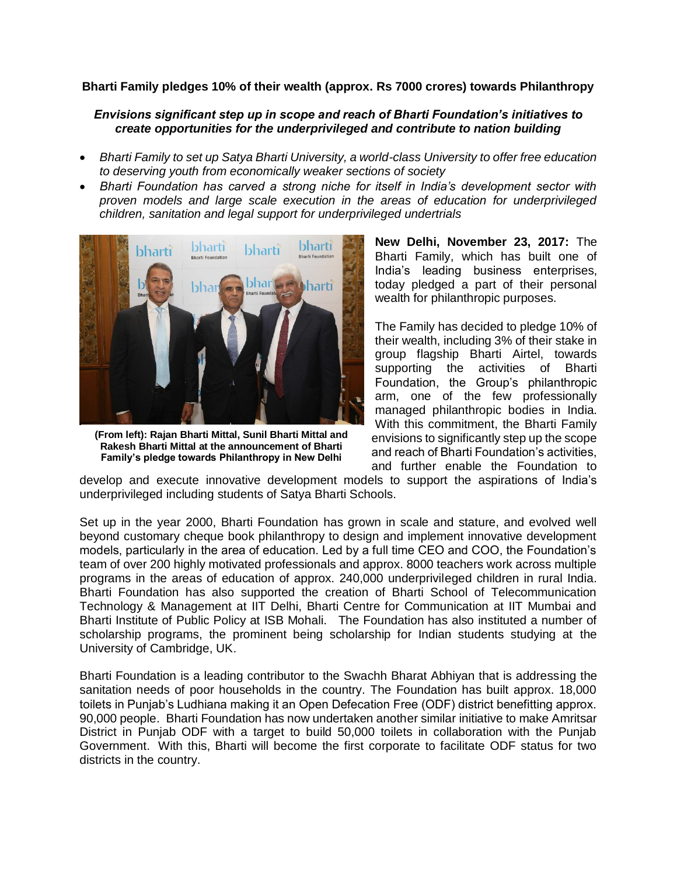## **Bharti Family pledges 10% of their wealth (approx. Rs 7000 crores) towards Philanthropy**

## *Envisions significant step up in scope and reach of Bharti Foundation's initiatives to create opportunities for the underprivileged and contribute to nation building*

- *Bharti Family to set up Satya Bharti University, a world-class University to offer free education to deserving youth from economically weaker sections of society*
- *Bharti Foundation has carved a strong niche for itself in India's development sector with proven models and large scale execution in the areas of education for underprivileged children, sanitation and legal support for underprivileged undertrials*



**(From left): Rajan Bharti Mittal, Sunil Bharti Mittal and Rakesh Bharti Mittal at the announcement of Bharti Family's pledge towards Philanthropy in New Delhi**

**New Delhi, November 23, 2017:** The Bharti Family, which has built one of India's leading business enterprises, today pledged a part of their personal wealth for philanthropic purposes.

The Family has decided to pledge 10% of their wealth, including 3% of their stake in group flagship Bharti Airtel, towards supporting the activities of Bharti Foundation, the Group's philanthropic arm, one of the few professionally managed philanthropic bodies in India. With this commitment, the Bharti Family envisions to significantly step up the scope and reach of Bharti Foundation's activities, and further enable the Foundation to

develop and execute innovative development models to support the aspirations of India's underprivileged including students of Satya Bharti Schools.

Set up in the year 2000, Bharti Foundation has grown in scale and stature, and evolved well beyond customary cheque book philanthropy to design and implement innovative development models, particularly in the area of education. Led by a full time CEO and COO, the Foundation's team of over 200 highly motivated professionals and approx. 8000 teachers work across multiple programs in the areas of education of approx. 240,000 underprivileged children in rural India. Bharti Foundation has also supported the creation of Bharti School of Telecommunication Technology & Management at IIT Delhi, Bharti Centre for Communication at IIT Mumbai and Bharti Institute of Public Policy at ISB Mohali. The Foundation has also instituted a number of scholarship programs, the prominent being scholarship for Indian students studying at the University of Cambridge, UK.

Bharti Foundation is a leading contributor to the Swachh Bharat Abhiyan that is addressing the sanitation needs of poor households in the country. The Foundation has built approx. 18,000 toilets in Punjab's Ludhiana making it an Open Defecation Free (ODF) district benefitting approx. 90,000 people. Bharti Foundation has now undertaken another similar initiative to make Amritsar District in Punjab ODF with a target to build 50,000 toilets in collaboration with the Punjab Government. With this, Bharti will become the first corporate to facilitate ODF status for two districts in the country.